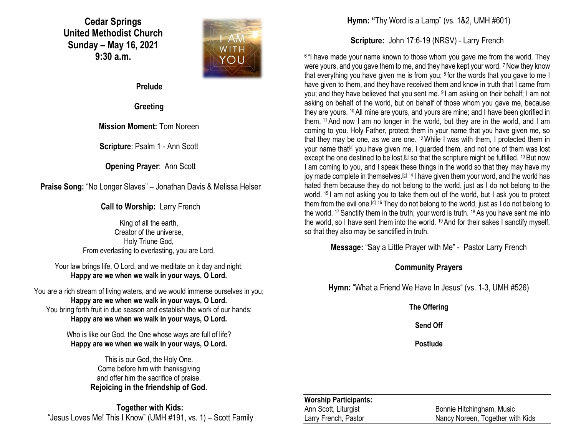**Cedar Springs United Methodist Church Sunday – May 16, 2021 9:30 a.m.**



**Prelude**

**Greeting**

**Mission Moment:** Tom Noreen

**Scripture**: Psalm 1 - Ann Scott

**Opening Prayer**: Ann Scott

**Praise Song:** "No Longer Slaves" – Jonathan Davis & Melissa Helser

**Call to Worship:** Larry French

King of all the earth, Creator of the universe, Holy Triune God, From everlasting to everlasting, you are Lord.

Your law brings life, O Lord, and we meditate on it day and night; **Happy are we when we walk in your ways, O Lord.**

You are a rich stream of living waters, and we would immerse ourselves in you; **Happy are we when we walk in your ways, O Lord.** You bring forth fruit in due season and establish the work of our hands; **Happy are we when we walk in your ways, O Lord.**

> Who is like our God, the One whose ways are full of life? **Happy are we when we walk in your ways, O Lord.**

> > This is our God, the Holy One. Come before him with thanksgiving and offer him the sacrifice of praise. **Rejoicing in the friendship of God.**

**Together with Kids:** "Jesus Loves Me! This I Know" (UMH #191, vs. 1) – Scott Family **Hymn: "**Thy Word is a Lamp" (vs. 1&2, UMH #601)

**Scripture:** John 17:6-19 (NRSV) - Larry French

<sup>6</sup> "I have made your name known to those whom you gave me from the world. They were yours, and you gave them to me, and they have kept your word. 7 Now they know that everything you have given me is from you; <sup>8</sup> for the words that you gave to me I have given to them, and they have received them and know in truth that I came from you; and they have believed that you sent me. <sup>9</sup>I am asking on their behalf; I am not asking on behalf of the world, but on behalf of those whom you gave me, because they are yours. <sup>10</sup>All mine are yours, and yours are mine; and I have been glorified in them. <sup>11</sup>And now I am no longer in the world, but they are in the world, and I am coming to you. Holy Father, protect them in your name that you have given me, so that they may be one, as we are one. <sup>12</sup>While I was with them, I protected them in your name that<sup>[\[a\]](https://www.biblegateway.com/passage/?search=John+17%3A6-19&version=NRSV#fen-NRSV-26761a)</sup> you have given me. I guarded them, and not one of them was lost except the one destined to be lost.<sup>[\[b\]](https://www.biblegateway.com/passage/?search=John+17%3A6-19&version=NRSV#fen-NRSV-26761b)</sup> so that the scripture might be fulfilled. <sup>13</sup> But now I am coming to you, and I speak these things in the world so that they may have my joy made complete in themselves.<sup>[\[c\]](https://www.biblegateway.com/passage/?search=John+17%3A6-19&version=NRSV#fen-NRSV-26762c) 14</sup> I have given them your word, and the world has hated them because they do not belong to the world, just as I do not belong to the world. <sup>15</sup> I am not asking you to take them out of the world, but I ask you to protect them from the evil one.<sup>[\[d\]](https://www.biblegateway.com/passage/?search=John+17%3A6-19&version=NRSV#fen-NRSV-26764d) 16</sup> They do not belong to the world, just as I do not belong to the world. <sup>17</sup>Sanctify them in the truth; your word is truth. <sup>18</sup> As you have sent me into the world, so I have sent them into the world. <sup>19</sup> And for their sakes I sanctify myself, so that they also may be sanctified in truth.

**Message:** "Say a Little Prayer with Me" - Pastor Larry French

#### **Community Prayers**

**Hymn:** "What a Friend We Have In Jesus" (vs. 1-3, UMH #526)

**The Offering**

**Send Off**

**Postlude**

#### **Worship Participants:**

Ann Scott, Liturgist Bonnie Hitchingham, Music Larry French, Pastor Nancy Noreen, Together with Kids